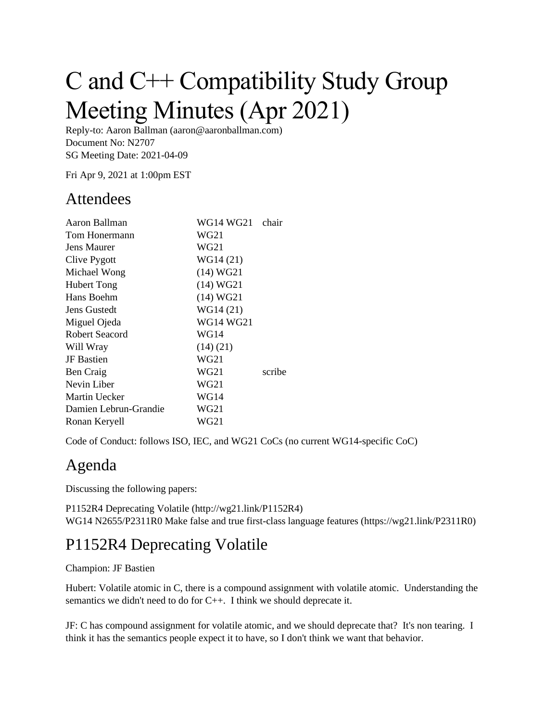# C and C++ Compatibility Study Group Meeting Minutes (Apr 2021)

Reply-to: Aaron Ballman (aaron@aaronballman.com) Document No: N2707 SG Meeting Date: 2021-04-09

Fri Apr 9, 2021 at 1:00pm EST

#### Attendees

| Aaron Ballman         | WG14 WG21 chair |        |
|-----------------------|-----------------|--------|
| Tom Honermann         | WG21            |        |
| <b>Jens Maurer</b>    | WG21            |        |
| Clive Pygott          | WG14 (21)       |        |
| Michael Wong          | (14) WG21       |        |
| <b>Hubert Tong</b>    | (14) WG21       |        |
| Hans Boehm            | (14) WG21       |        |
| Jens Gustedt          | WG14 (21)       |        |
| Miguel Ojeda          | WG14 WG21       |        |
| <b>Robert Seacord</b> | <b>WG14</b>     |        |
| Will Wray             | (14)(21)        |        |
| JF Bastien            | WG21            |        |
| Ben Craig             | WG21            | scribe |
| Nevin Liber           | WG21            |        |
| <b>Martin Uecker</b>  | WG14            |        |
| Damien Lebrun-Grandie | WG21            |        |
| Ronan Keryell         | WG21            |        |
|                       |                 |        |

Code of Conduct: follows ISO, IEC, and WG21 CoCs (no current WG14-specific CoC)

## Agenda

Discussing the following papers:

P1152R4 Deprecating Volatile (http://wg21.link/P1152R4) WG14 N2655/P2311R0 Make false and true first-class language features (https://wg21.link/P2311R0)

## P1152R4 Deprecating Volatile

#### Champion: JF Bastien

Hubert: Volatile atomic in C, there is a compound assignment with volatile atomic. Understanding the semantics we didn't need to do for C++. I think we should deprecate it.

JF: C has compound assignment for volatile atomic, and we should deprecate that? It's non tearing. I think it has the semantics people expect it to have, so I don't think we want that behavior.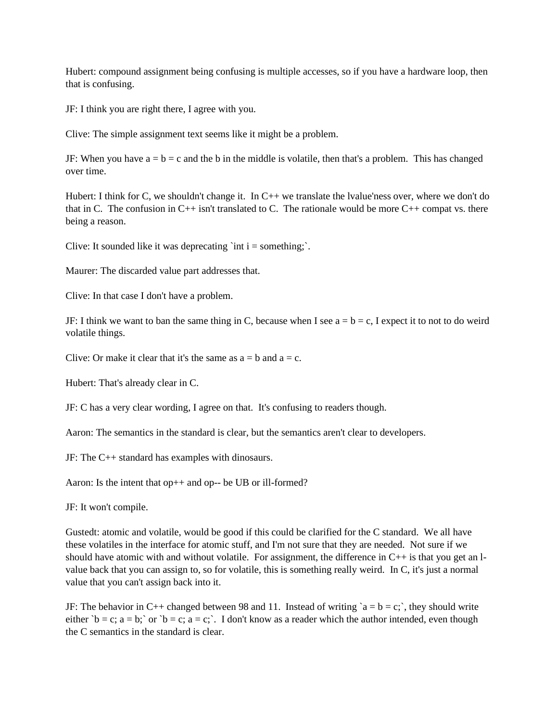Hubert: compound assignment being confusing is multiple accesses, so if you have a hardware loop, then that is confusing.

JF: I think you are right there, I agree with you.

Clive: The simple assignment text seems like it might be a problem.

JF: When you have  $a = b = c$  and the b in the middle is volatile, then that's a problem. This has changed over time.

Hubert: I think for C, we shouldn't change it. In  $C_{++}$  we translate the lvalue'ness over, where we don't do that in C. The confusion in  $C_{++}$  isn't translated to C. The rationale would be more  $C_{++}$  compat vs. there being a reason.

Clive: It sounded like it was deprecating 'int  $i =$  something;'.

Maurer: The discarded value part addresses that.

Clive: In that case I don't have a problem.

JF: I think we want to ban the same thing in C, because when I see  $a = b = c$ , I expect it to not to do weird volatile things.

Clive: Or make it clear that it's the same as  $a = b$  and  $a = c$ .

Hubert: That's already clear in C.

JF: C has a very clear wording, I agree on that. It's confusing to readers though.

Aaron: The semantics in the standard is clear, but the semantics aren't clear to developers.

JF: The C++ standard has examples with dinosaurs.

Aaron: Is the intent that op<sub>++</sub> and op-- be UB or ill-formed?

JF: It won't compile.

Gustedt: atomic and volatile, would be good if this could be clarified for the C standard. We all have these volatiles in the interface for atomic stuff, and I'm not sure that they are needed. Not sure if we should have atomic with and without volatile. For assignment, the difference in  $C_{++}$  is that you get an lvalue back that you can assign to, so for volatile, this is something really weird. In C, it's just a normal value that you can't assign back into it.

JF: The behavior in C++ changed between 98 and 11. Instead of writing  $a = b = c$ ; they should write either `b = c; a = b;` or `b = c; a = c;`. I don't know as a reader which the author intended, even though the C semantics in the standard is clear.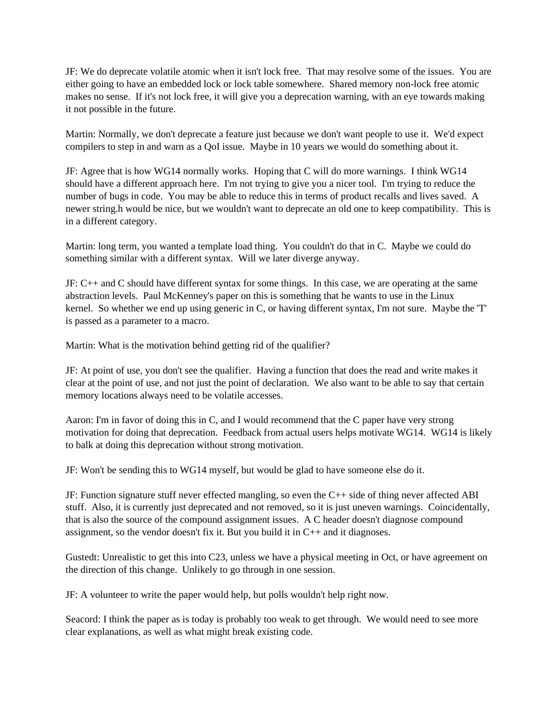JF: We do deprecate volatile atomic when it isn't lock free. That may resolve some of the issues. You are either going to have an embedded lock or lock table somewhere. Shared memory non-lock free atomic makes no sense. If it's not lock free, it will give you a deprecation warning, with an eye towards making it not possible in the future.

Martin: Normally, we don't deprecate a feature just because we don't want people to use it. We'd expect compilers to step in and warn as a QoI issue. Maybe in 10 years we would do something about it.

JF: Agree that is how WG14 normally works. Hoping that C will do more warnings. I think WG14 should have a different approach here. I'm not trying to give you a nicer tool. I'm trying to reduce the number of bugs in code. You may be able to reduce this in terms of product recalls and lives saved. A newer string.h would be nice, but we wouldn't want to deprecate an old one to keep compatibility. This is in a different category.

Martin: long term, you wanted a template load thing. You couldn't do that in C. Maybe we could do something similar with a different syntax. Will we later diverge anyway.

JF: C++ and C should have different syntax for some things. In this case, we are operating at the same abstraction levels. Paul McKenney's paper on this is something that he wants to use in the Linux kernel. So whether we end up using generic in C, or having different syntax, I'm not sure. Maybe the 'T' is passed as a parameter to a macro.

Martin: What is the motivation behind getting rid of the qualifier?

JF: At point of use, you don't see the qualifier. Having a function that does the read and write makes it clear at the point of use, and not just the point of declaration. We also want to be able to say that certain memory locations always need to be volatile accesses.

Aaron: I'm in favor of doing this in C, and I would recommend that the C paper have very strong motivation for doing that deprecation. Feedback from actual users helps motivate WG14. WG14 is likely to balk at doing this deprecation without strong motivation.

JF: Won't be sending this to WG14 myself, but would be glad to have someone else do it.

JF: Function signature stuff never effected mangling, so even the C++ side of thing never affected ABI stuff. Also, it is currently just deprecated and not removed, so it is just uneven warnings. Coincidentally, that is also the source of the compound assignment issues. A C header doesn't diagnose compound assignment, so the vendor doesn't fix it. But you build it in C++ and it diagnoses.

Gustedt: Unrealistic to get this into C23, unless we have a physical meeting in Oct, or have agreement on the direction of this change. Unlikely to go through in one session.

JF: A volunteer to write the paper would help, but polls wouldn't help right now.

Seacord: I think the paper as is today is probably too weak to get through. We would need to see more clear explanations, as well as what might break existing code.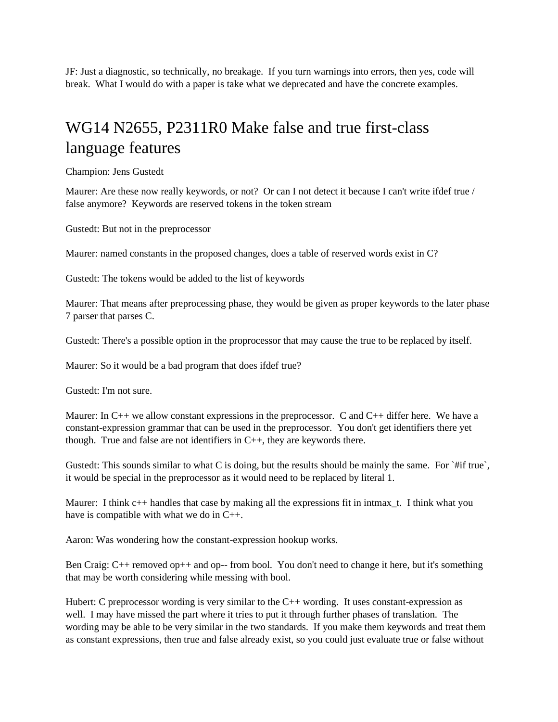JF: Just a diagnostic, so technically, no breakage. If you turn warnings into errors, then yes, code will break. What I would do with a paper is take what we deprecated and have the concrete examples.

# WG14 N2655, P2311R0 Make false and true first-class language features

Champion: Jens Gustedt

Maurer: Are these now really keywords, or not? Or can I not detect it because I can't write ifdef true / false anymore? Keywords are reserved tokens in the token stream

Gustedt: But not in the preprocessor

Maurer: named constants in the proposed changes, does a table of reserved words exist in C?

Gustedt: The tokens would be added to the list of keywords

Maurer: That means after preprocessing phase, they would be given as proper keywords to the later phase 7 parser that parses C.

Gustedt: There's a possible option in the proprocessor that may cause the true to be replaced by itself.

Maurer: So it would be a bad program that does ifdef true?

Gustedt: I'm not sure.

Maurer: In  $C_{++}$  we allow constant expressions in the preprocessor. C and  $C_{++}$  differ here. We have a constant-expression grammar that can be used in the preprocessor. You don't get identifiers there yet though. True and false are not identifiers in C++, they are keywords there.

Gustedt: This sounds similar to what C is doing, but the results should be mainly the same. For  $\hat{f}$  #if true, it would be special in the preprocessor as it would need to be replaced by literal 1.

Maurer: I think  $c++$  handles that case by making all the expressions fit in intmax t. I think what you have is compatible with what we do in C++.

Aaron: Was wondering how the constant-expression hookup works.

Ben Craig: C++ removed op++ and op-- from bool. You don't need to change it here, but it's something that may be worth considering while messing with bool.

Hubert: C preprocessor wording is very similar to the  $C_{++}$  wording. It uses constant-expression as well. I may have missed the part where it tries to put it through further phases of translation. The wording may be able to be very similar in the two standards. If you make them keywords and treat them as constant expressions, then true and false already exist, so you could just evaluate true or false without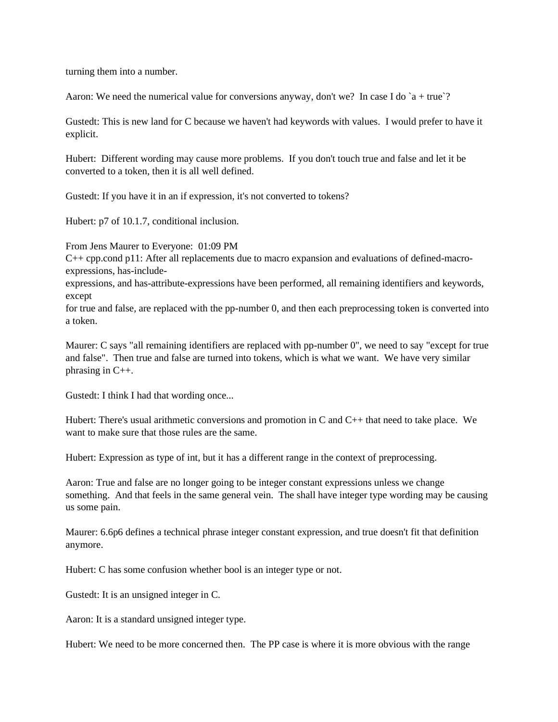turning them into a number.

Aaron: We need the numerical value for conversions anyway, don't we? In case I do  $a + true$ ?

Gustedt: This is new land for C because we haven't had keywords with values. I would prefer to have it explicit.

Hubert: Different wording may cause more problems. If you don't touch true and false and let it be converted to a token, then it is all well defined.

Gustedt: If you have it in an if expression, it's not converted to tokens?

Hubert: p7 of 10.1.7, conditional inclusion.

From Jens Maurer to Everyone: 01:09 PM

C++ cpp.cond p11: After all replacements due to macro expansion and evaluations of defined-macroexpressions, has-include-

expressions, and has-attribute-expressions have been performed, all remaining identifiers and keywords, except

for true and false, are replaced with the pp-number 0, and then each preprocessing token is converted into a token.

Maurer: C says "all remaining identifiers are replaced with pp-number 0", we need to say "except for true and false". Then true and false are turned into tokens, which is what we want. We have very similar phrasing in C++.

Gustedt: I think I had that wording once...

Hubert: There's usual arithmetic conversions and promotion in C and  $C_{++}$  that need to take place. We want to make sure that those rules are the same.

Hubert: Expression as type of int, but it has a different range in the context of preprocessing.

Aaron: True and false are no longer going to be integer constant expressions unless we change something. And that feels in the same general vein. The shall have integer type wording may be causing us some pain.

Maurer: 6.6p6 defines a technical phrase integer constant expression, and true doesn't fit that definition anymore.

Hubert: C has some confusion whether bool is an integer type or not.

Gustedt: It is an unsigned integer in C.

Aaron: It is a standard unsigned integer type.

Hubert: We need to be more concerned then. The PP case is where it is more obvious with the range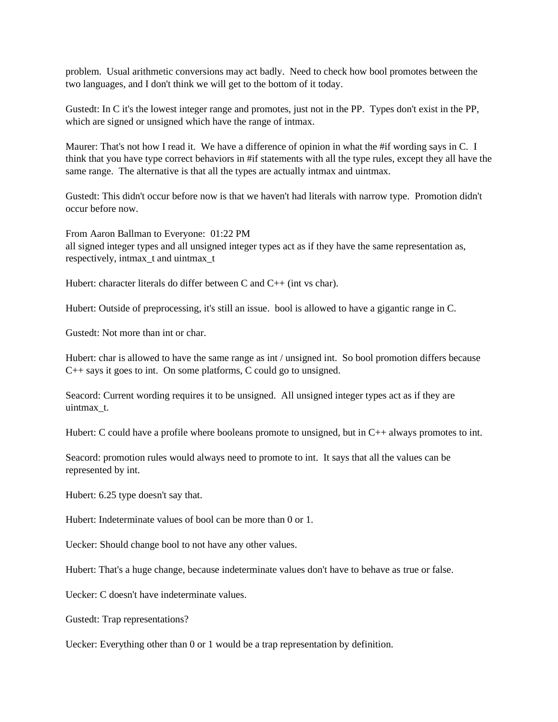problem. Usual arithmetic conversions may act badly. Need to check how bool promotes between the two languages, and I don't think we will get to the bottom of it today.

Gustedt: In C it's the lowest integer range and promotes, just not in the PP. Types don't exist in the PP, which are signed or unsigned which have the range of intmax.

Maurer: That's not how I read it. We have a difference of opinion in what the #if wording says in C. I think that you have type correct behaviors in #if statements with all the type rules, except they all have the same range. The alternative is that all the types are actually intmax and uintmax.

Gustedt: This didn't occur before now is that we haven't had literals with narrow type. Promotion didn't occur before now.

From Aaron Ballman to Everyone: 01:22 PM all signed integer types and all unsigned integer types act as if they have the same representation as, respectively, intmax\_t and uintmax\_t

Hubert: character literals do differ between C and C++ (int vs char).

Hubert: Outside of preprocessing, it's still an issue. bool is allowed to have a gigantic range in C.

Gustedt: Not more than int or char.

Hubert: char is allowed to have the same range as int / unsigned int. So bool promotion differs because C++ says it goes to int. On some platforms, C could go to unsigned.

Seacord: Current wording requires it to be unsigned. All unsigned integer types act as if they are uintmax\_t.

Hubert: C could have a profile where booleans promote to unsigned, but in  $C_{++}$  always promotes to int.

Seacord: promotion rules would always need to promote to int. It says that all the values can be represented by int.

Hubert: 6.25 type doesn't say that.

Hubert: Indeterminate values of bool can be more than 0 or 1.

Uecker: Should change bool to not have any other values.

Hubert: That's a huge change, because indeterminate values don't have to behave as true or false.

Uecker: C doesn't have indeterminate values.

Gustedt: Trap representations?

Uecker: Everything other than 0 or 1 would be a trap representation by definition.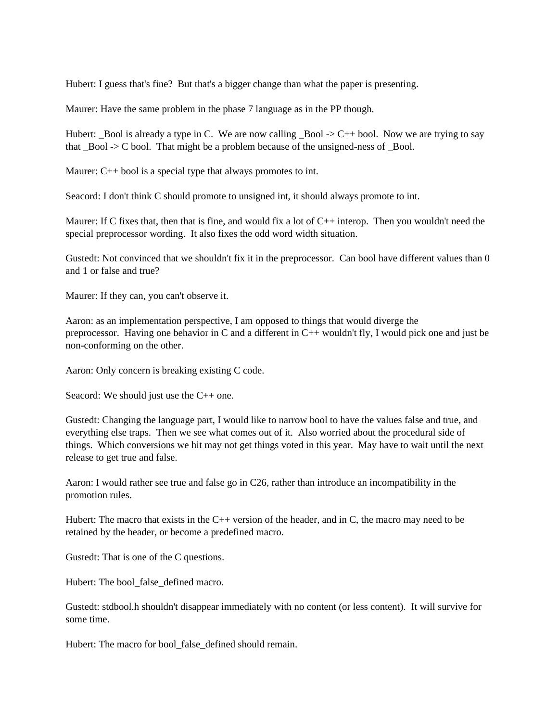Hubert: I guess that's fine? But that's a bigger change than what the paper is presenting.

Maurer: Have the same problem in the phase 7 language as in the PP though.

Hubert: \_Bool is already a type in C. We are now calling \_Bool -> C++ bool. Now we are trying to say that  $Bool \rightarrow C$  bool. That might be a problem because of the unsigned-ness of  $Bool$ .

Maurer: C<sup>++</sup> bool is a special type that always promotes to int.

Seacord: I don't think C should promote to unsigned int, it should always promote to int.

Maurer: If C fixes that, then that is fine, and would fix a lot of  $C_{++}$  interop. Then you wouldn't need the special preprocessor wording. It also fixes the odd word width situation.

Gustedt: Not convinced that we shouldn't fix it in the preprocessor. Can bool have different values than 0 and 1 or false and true?

Maurer: If they can, you can't observe it.

Aaron: as an implementation perspective, I am opposed to things that would diverge the preprocessor. Having one behavior in C and a different in C++ wouldn't fly, I would pick one and just be non-conforming on the other.

Aaron: Only concern is breaking existing C code.

Seacord: We should just use the C++ one.

Gustedt: Changing the language part, I would like to narrow bool to have the values false and true, and everything else traps. Then we see what comes out of it. Also worried about the procedural side of things. Which conversions we hit may not get things voted in this year. May have to wait until the next release to get true and false.

Aaron: I would rather see true and false go in C26, rather than introduce an incompatibility in the promotion rules.

Hubert: The macro that exists in the C++ version of the header, and in C, the macro may need to be retained by the header, or become a predefined macro.

Gustedt: That is one of the C questions.

Hubert: The bool false defined macro.

Gustedt: stdbool.h shouldn't disappear immediately with no content (or less content). It will survive for some time.

Hubert: The macro for bool false defined should remain.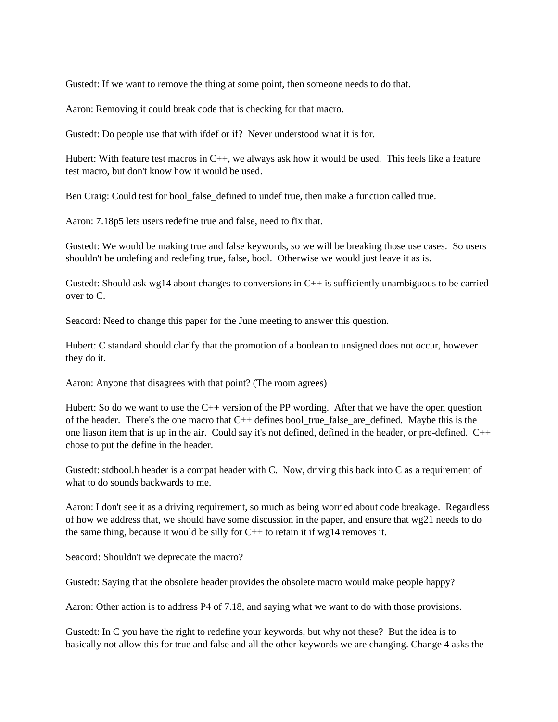Gustedt: If we want to remove the thing at some point, then someone needs to do that.

Aaron: Removing it could break code that is checking for that macro.

Gustedt: Do people use that with ifdef or if? Never understood what it is for.

Hubert: With feature test macros in  $C_{++}$ , we always ask how it would be used. This feels like a feature test macro, but don't know how it would be used.

Ben Craig: Could test for bool false defined to undef true, then make a function called true.

Aaron: 7.18p5 lets users redefine true and false, need to fix that.

Gustedt: We would be making true and false keywords, so we will be breaking those use cases. So users shouldn't be undefing and redefing true, false, bool. Otherwise we would just leave it as is.

Gustedt: Should ask wg14 about changes to conversions in  $C_{++}$  is sufficiently unambiguous to be carried over to C.

Seacord: Need to change this paper for the June meeting to answer this question.

Hubert: C standard should clarify that the promotion of a boolean to unsigned does not occur, however they do it.

Aaron: Anyone that disagrees with that point? (The room agrees)

Hubert: So do we want to use the C++ version of the PP wording. After that we have the open question of the header. There's the one macro that C++ defines bool\_true\_false\_are\_defined. Maybe this is the one liason item that is up in the air. Could say it's not defined, defined in the header, or pre-defined. C++ chose to put the define in the header.

Gustedt: stdbool.h header is a compat header with C. Now, driving this back into C as a requirement of what to do sounds backwards to me.

Aaron: I don't see it as a driving requirement, so much as being worried about code breakage. Regardless of how we address that, we should have some discussion in the paper, and ensure that wg21 needs to do the same thing, because it would be silly for C++ to retain it if wg14 removes it.

Seacord: Shouldn't we deprecate the macro?

Gustedt: Saying that the obsolete header provides the obsolete macro would make people happy?

Aaron: Other action is to address P4 of 7.18, and saying what we want to do with those provisions.

Gustedt: In C you have the right to redefine your keywords, but why not these? But the idea is to basically not allow this for true and false and all the other keywords we are changing. Change 4 asks the